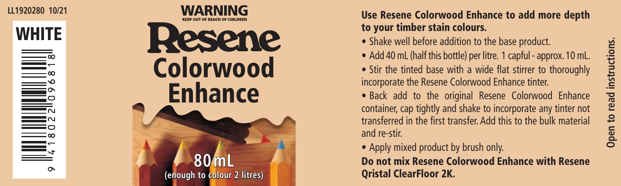

**LL1920280 10/21**



**80 mL (enough to colour 2 litres)**

## Use Resene Colorwood Enhance to add more depth to your timber stain colours.

- Shake well before addition to the base product.
- Add 40 mL (half this bottle) per litre. 1 capful approx. 10 mL. • Stir the tinted base with a wide flat stirrer to thoroughly incorporate the Resene Colorwood Enhance tinter.
- Back add to the original Resene Colorwood Enhance container, cap tightly and shake to incorporate any tinter not transferred in the first transfer. Add this to the bulk material and re-stir.
- Apply mixed product by brush only. Do not mix Resene Colorwood Enhance with Resene Qristal ClearFloor 2K.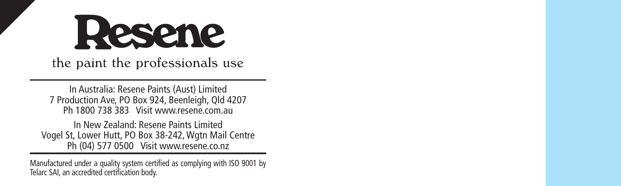## Resene

the paint the professionals use

In Australia: Resene Paints (Aust) Limited 7 Production Ave, PO Box 924, Beenleigh, Qld 4207 Ph 1800 738 383 Visit www.resene.com.au

In New Zealand: Resene Paints Limited Vogel St, Lower Hutt, PO Box 38-242, Wgtn Mail Centre Ph (04) 577 0500 Visit www.resene.co.nz

Manufactured under a quality system certified as complying with ISO 9001 by Telarc SAI, an accredited certification body.